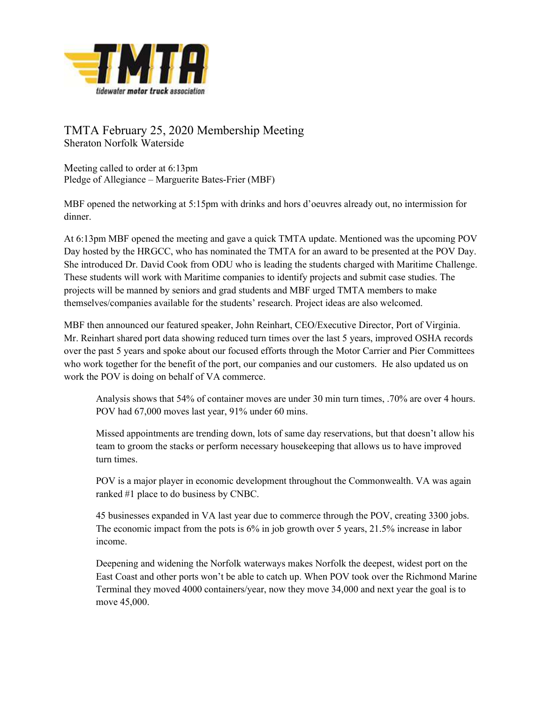

## TMTA February 25, 2020 Membership Meeting Sheraton Norfolk Waterside

Meeting called to order at 6:13pm Pledge of Allegiance – Marguerite Bates-Frier (MBF)

MBF opened the networking at 5:15pm with drinks and hors d'oeuvres already out, no intermission for dinner.

At 6:13pm MBF opened the meeting and gave a quick TMTA update. Mentioned was the upcoming POV Day hosted by the HRGCC, who has nominated the TMTA for an award to be presented at the POV Day. She introduced Dr. David Cook from ODU who is leading the students charged with Maritime Challenge. These students will work with Maritime companies to identify projects and submit case studies. The projects will be manned by seniors and grad students and MBF urged TMTA members to make themselves/companies available for the students' research. Project ideas are also welcomed.

MBF then announced our featured speaker, John Reinhart, CEO/Executive Director, Port of Virginia. Mr. Reinhart shared port data showing reduced turn times over the last 5 years, improved OSHA records over the past 5 years and spoke about our focused efforts through the Motor Carrier and Pier Committees who work together for the benefit of the port, our companies and our customers. He also updated us on work the POV is doing on behalf of VA commerce.

Analysis shows that 54% of container moves are under 30 min turn times, .70% are over 4 hours. POV had 67,000 moves last year, 91% under 60 mins.

Missed appointments are trending down, lots of same day reservations, but that doesn't allow his team to groom the stacks or perform necessary housekeeping that allows us to have improved turn times.

POV is a major player in economic development throughout the Commonwealth. VA was again ranked #1 place to do business by CNBC.

45 businesses expanded in VA last year due to commerce through the POV, creating 3300 jobs. The economic impact from the pots is 6% in job growth over 5 years, 21.5% increase in labor income.

Deepening and widening the Norfolk waterways makes Norfolk the deepest, widest port on the East Coast and other ports won't be able to catch up. When POV took over the Richmond Marine Terminal they moved 4000 containers/year, now they move 34,000 and next year the goal is to move 45,000.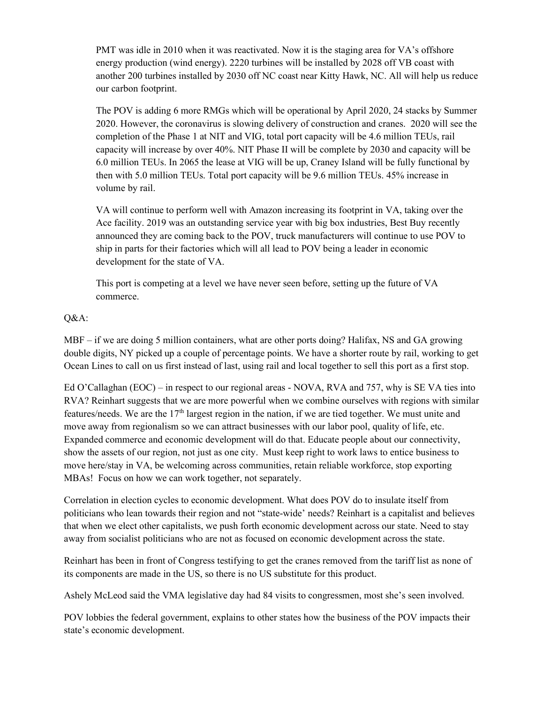PMT was idle in 2010 when it was reactivated. Now it is the staging area for VA's offshore energy production (wind energy). 2220 turbines will be installed by 2028 off VB coast with another 200 turbines installed by 2030 off NC coast near Kitty Hawk, NC. All will help us reduce our carbon footprint.

The POV is adding 6 more RMGs which will be operational by April 2020, 24 stacks by Summer 2020. However, the coronavirus is slowing delivery of construction and cranes. 2020 will see the completion of the Phase 1 at NIT and VIG, total port capacity will be 4.6 million TEUs, rail capacity will increase by over 40%. NIT Phase II will be complete by 2030 and capacity will be 6.0 million TEUs. In 2065 the lease at VIG will be up, Craney Island will be fully functional by then with 5.0 million TEUs. Total port capacity will be 9.6 million TEUs. 45% increase in volume by rail.

VA will continue to perform well with Amazon increasing its footprint in VA, taking over the Ace facility. 2019 was an outstanding service year with big box industries, Best Buy recently announced they are coming back to the POV, truck manufacturers will continue to use POV to ship in parts for their factories which will all lead to POV being a leader in economic development for the state of VA.

This port is competing at a level we have never seen before, setting up the future of VA commerce.

## Q&A:

MBF – if we are doing 5 million containers, what are other ports doing? Halifax, NS and GA growing double digits, NY picked up a couple of percentage points. We have a shorter route by rail, working to get Ocean Lines to call on us first instead of last, using rail and local together to sell this port as a first stop.

Ed O'Callaghan (EOC) – in respect to our regional areas - NOVA, RVA and 757, why is SE VA ties into RVA? Reinhart suggests that we are more powerful when we combine ourselves with regions with similar features/needs. We are the  $17<sup>th</sup>$  largest region in the nation, if we are tied together. We must unite and move away from regionalism so we can attract businesses with our labor pool, quality of life, etc. Expanded commerce and economic development will do that. Educate people about our connectivity, show the assets of our region, not just as one city. Must keep right to work laws to entice business to move here/stay in VA, be welcoming across communities, retain reliable workforce, stop exporting MBAs! Focus on how we can work together, not separately.

Correlation in election cycles to economic development. What does POV do to insulate itself from politicians who lean towards their region and not "state-wide' needs? Reinhart is a capitalist and believes that when we elect other capitalists, we push forth economic development across our state. Need to stay away from socialist politicians who are not as focused on economic development across the state.

Reinhart has been in front of Congress testifying to get the cranes removed from the tariff list as none of its components are made in the US, so there is no US substitute for this product.

Ashely McLeod said the VMA legislative day had 84 visits to congressmen, most she's seen involved.

POV lobbies the federal government, explains to other states how the business of the POV impacts their state's economic development.